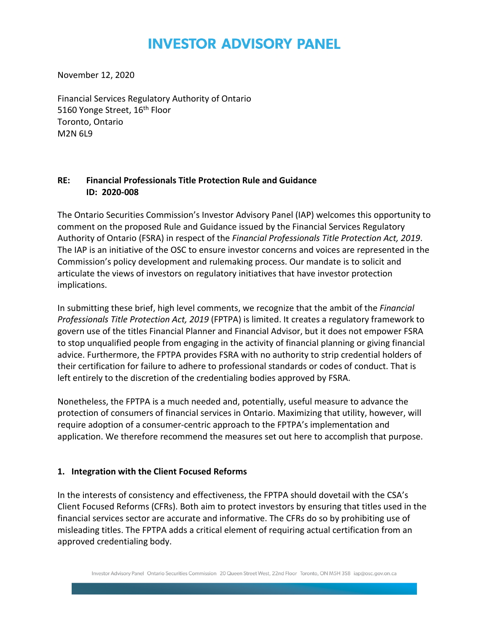# **INVESTOR ADVISORY PANEL**

November 12, 2020

Financial Services Regulatory Authority of Ontario 5160 Yonge Street, 16<sup>th</sup> Floor Toronto, Ontario M2N 6L9

#### **RE: Financial Professionals Title Protection Rule and Guidance ID: 2020-008**

The Ontario Securities Commission's Investor Advisory Panel (IAP) welcomes this opportunity to comment on the proposed Rule and Guidance issued by the Financial Services Regulatory Authority of Ontario (FSRA) in respect of the *Financial Professionals Title Protection Act, 2019*. The IAP is an initiative of the OSC to ensure investor concerns and voices are represented in the Commission's policy development and rulemaking process. Our mandate is to solicit and articulate the views of investors on regulatory initiatives that have investor protection implications.

In submitting these brief, high level comments, we recognize that the ambit of the *Financial Professionals Title Protection Act, 2019* (FPTPA) is limited. It creates a regulatory framework to govern use of the titles Financial Planner and Financial Advisor, but it does not empower FSRA to stop unqualified people from engaging in the activity of financial planning or giving financial advice. Furthermore, the FPTPA provides FSRA with no authority to strip credential holders of their certification for failure to adhere to professional standards or codes of conduct. That is left entirely to the discretion of the credentialing bodies approved by FSRA.

Nonetheless, the FPTPA is a much needed and, potentially, useful measure to advance the protection of consumers of financial services in Ontario. Maximizing that utility, however, will require adoption of a consumer-centric approach to the FPTPA's implementation and application. We therefore recommend the measures set out here to accomplish that purpose.

#### **1. Integration with the Client Focused Reforms**

In the interests of consistency and effectiveness, the FPTPA should dovetail with the CSA's Client Focused Reforms (CFRs). Both aim to protect investors by ensuring that titles used in the financial services sector are accurate and informative. The CFRs do so by prohibiting use of misleading titles. The FPTPA adds a critical element of requiring actual certification from an approved credentialing body.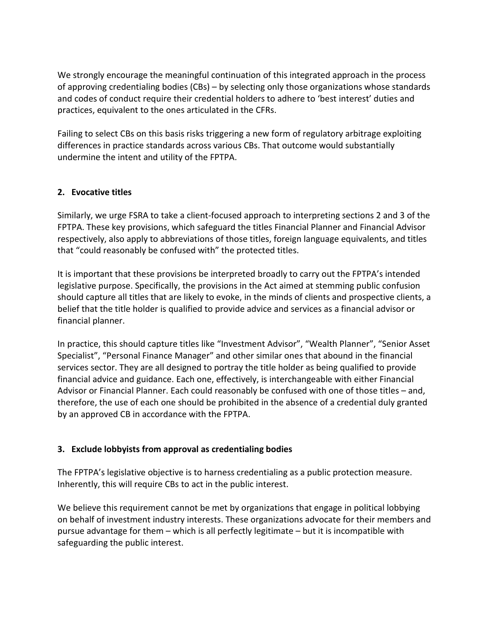We strongly encourage the meaningful continuation of this integrated approach in the process of approving credentialing bodies (CBs) – by selecting only those organizations whose standards and codes of conduct require their credential holders to adhere to 'best interest' duties and practices, equivalent to the ones articulated in the CFRs.

Failing to select CBs on this basis risks triggering a new form of regulatory arbitrage exploiting differences in practice standards across various CBs. That outcome would substantially undermine the intent and utility of the FPTPA.

## **2. Evocative titles**

Similarly, we urge FSRA to take a client-focused approach to interpreting sections 2 and 3 of the FPTPA. These key provisions, which safeguard the titles Financial Planner and Financial Advisor respectively, also apply to abbreviations of those titles, foreign language equivalents, and titles that "could reasonably be confused with" the protected titles.

It is important that these provisions be interpreted broadly to carry out the FPTPA's intended legislative purpose. Specifically, the provisions in the Act aimed at stemming public confusion should capture all titles that are likely to evoke, in the minds of clients and prospective clients, a belief that the title holder is qualified to provide advice and services as a financial advisor or financial planner.

In practice, this should capture titles like "Investment Advisor", "Wealth Planner", "Senior Asset Specialist", "Personal Finance Manager" and other similar ones that abound in the financial services sector. They are all designed to portray the title holder as being qualified to provide financial advice and guidance. Each one, effectively, is interchangeable with either Financial Advisor or Financial Planner. Each could reasonably be confused with one of those titles – and, therefore, the use of each one should be prohibited in the absence of a credential duly granted by an approved CB in accordance with the FPTPA.

## **3. Exclude lobbyists from approval as credentialing bodies**

The FPTPA's legislative objective is to harness credentialing as a public protection measure. Inherently, this will require CBs to act in the public interest.

We believe this requirement cannot be met by organizations that engage in political lobbying on behalf of investment industry interests. These organizations advocate for their members and pursue advantage for them – which is all perfectly legitimate – but it is incompatible with safeguarding the public interest.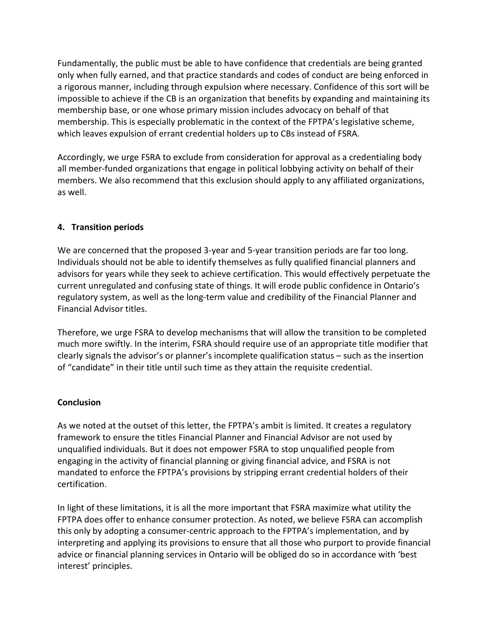Fundamentally, the public must be able to have confidence that credentials are being granted only when fully earned, and that practice standards and codes of conduct are being enforced in a rigorous manner, including through expulsion where necessary. Confidence of this sort will be impossible to achieve if the CB is an organization that benefits by expanding and maintaining its membership base, or one whose primary mission includes advocacy on behalf of that membership. This is especially problematic in the context of the FPTPA's legislative scheme, which leaves expulsion of errant credential holders up to CBs instead of FSRA.

Accordingly, we urge FSRA to exclude from consideration for approval as a credentialing body all member-funded organizations that engage in political lobbying activity on behalf of their members. We also recommend that this exclusion should apply to any affiliated organizations, as well.

## **4. Transition periods**

We are concerned that the proposed 3-year and 5-year transition periods are far too long. Individuals should not be able to identify themselves as fully qualified financial planners and advisors for years while they seek to achieve certification. This would effectively perpetuate the current unregulated and confusing state of things. It will erode public confidence in Ontario's regulatory system, as well as the long-term value and credibility of the Financial Planner and Financial Advisor titles.

Therefore, we urge FSRA to develop mechanisms that will allow the transition to be completed much more swiftly. In the interim, FSRA should require use of an appropriate title modifier that clearly signals the advisor's or planner's incomplete qualification status – such as the insertion of "candidate" in their title until such time as they attain the requisite credential.

#### **Conclusion**

As we noted at the outset of this letter, the FPTPA's ambit is limited. It creates a regulatory framework to ensure the titles Financial Planner and Financial Advisor are not used by unqualified individuals. But it does not empower FSRA to stop unqualified people from engaging in the activity of financial planning or giving financial advice, and FSRA is not mandated to enforce the FPTPA's provisions by stripping errant credential holders of their certification.

In light of these limitations, it is all the more important that FSRA maximize what utility the FPTPA does offer to enhance consumer protection. As noted, we believe FSRA can accomplish this only by adopting a consumer-centric approach to the FPTPA's implementation, and by interpreting and applying its provisions to ensure that all those who purport to provide financial advice or financial planning services in Ontario will be obliged do so in accordance with 'best interest' principles.